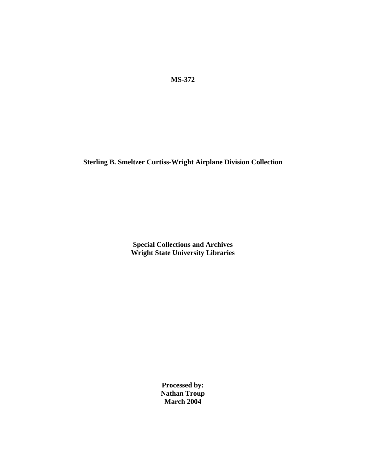**MS-372** 

**Sterling B. Smeltzer Curtiss-Wright Airplane Division Collection** 

**Special Collections and Archives Wright State University Libraries**

> **Processed by: Nathan Troup March 2004**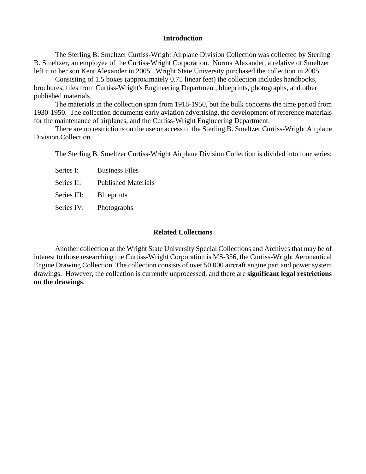### **Introduction**

The Sterling B. Smeltzer Curtiss-Wright Airplane Division Collection was collected by Sterling B. Smeltzer, an employee of the Curtiss-Wright Corporation. Norma Alexander, a relative of Smeltzer left it to her son Kent Alexander in 2005. Wright State University purchased the collection in 2005.

Consisting of 1.5 boxes (approximately 0.75 linear feet) the collection includes handbooks, brochures, files from Curtiss-Wright's Engineering Department, blueprints, photographs, and other published materials.

The materials in the collection span from 1918-1950, but the bulk concerns the time period from 1930-1950. The collection documents early aviation advertising, the development of reference materials for the maintenance of airplanes, and the Curtiss-Wright Engineering Department.

There are no restrictions on the use or access of the Sterling B. Smeltzer Curtiss-Wright Airplane Division Collection.

The Sterling B. Smeltzer Curtiss-Wright Airplane Division Collection is divided into four series:

Series I: Business Files

Series II: Published Materials

Series III: Blueprints

Series IV: Photographs

### **Related Collections**

Another collection at the Wright State University Special Collections and Archives that may be of Engine Drawing Collection. The collection consists of over 50,000 aircraft engine part and power system drawings. However, the collection is currently unprocessed, and there are **significant legal restrictions** interest to those researching the Curtiss-Wright Corporation is MS-356, the Curtiss-Wright Aeronautical **on the drawings**.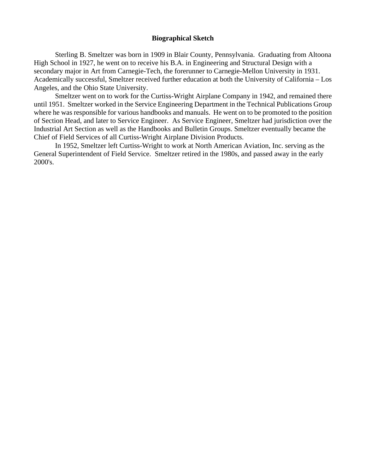## **Biographical Sketch**

Sterling B. Smeltzer was born in 1909 in Blair County, Pennsylvania. Graduating from Altoona secondary major in Art from Carnegie-Tech, the forerunner to Carnegie-Mellon University in 1931. Academically successful, Smeltzer received further education at both the University of California - Los High School in 1927, he went on to receive his B.A. in Engineering and Structural Design with a Angeles, and the Ohio State University.

Smeltzer went on to work for the Curtiss-Wright Airplane Company in 1942, and remained there until 1951. Smeltzer worked in the Service Engineering Department in the Technical Publications Group where he was responsible for various handbooks and manuals. He went on to be promoted to the position of Section Head, and later to Service Engineer. As Service Engineer, Smeltzer had jurisdiction over the Industrial Art Section as well as the Handbooks and Bulletin Groups. Smeltzer eventually became the Chief of Field Services of all Curtiss-Wright Airplane Division Products.

In 1952, Smeltzer left Curtiss-Wright to work at North American Aviation, Inc. serving as the General Superintendent of Field Service. Smeltzer retired in the 1980s, and passed away in the early 2000's.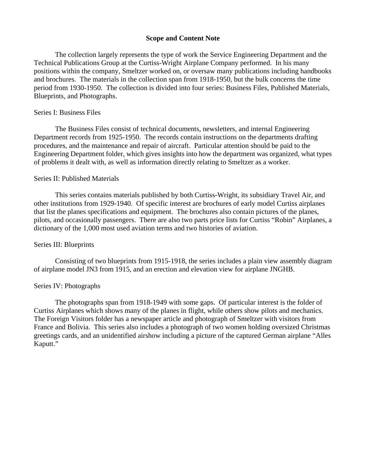## **Scope and Content Note**

The collection largely represents the type of work the Service Engineering Department and the period from 1930-1950. The collection is divided into four series: Business Files, Published Materials, Technical Publications Group at the Curtiss-Wright Airplane Company performed. In his many positions within the company, Smeltzer worked on, or oversaw many publications including handbooks and brochures. The materials in the collection span from 1918-1950, but the bulk concerns the time Blueprints, and Photographs.

#### Series I: Business Files

The Business Files consist of technical documents, newsletters, and internal Engineering Department records from 1925-1950. The records contain instructions on the departments drafting Engineering Department folder, which gives insights into how the department was organized, what types procedures, and the maintenance and repair of aircraft. Particular attention should be paid to the of problems it dealt with, as well as information directly relating to Smeltzer as a worker.

## Series II: Published Materials

This series contains materials published by both Curtiss-Wright, its subsidiary Travel Air, and pilots, and occasionally passengers. There are also two parts price lists for Curtiss "Robin" Airplanes, a other institutions from 1929-1940. Of specific interest are brochures of early model Curtiss airplanes that list the planes specifications and equipment. The brochures also contain pictures of the planes, dictionary of the 1,000 most used aviation terms and two histories of aviation.

# Series III: Blueprints

Consisting of two blueprints from 1915-1918, the series includes a plain view assembly diagram of airplane model JN3 from 1915, and an erection and elevation view for airplane JNGHB.

### Series IV: Photographs

The photographs span from 1918-1949 with some gaps. Of particular interest is the folder of France and Bolivia. This series also includes a photograph of two women holding oversized Christmas Curtiss Airplanes which shows many of the planes in flight, while others show pilots and mechanics. The Foreign Visitors folder has a newspaper article and photograph of Smeltzer with visitors from greetings cards, and an unidentified airshow including a picture of the captured German airplane "Alles Kaputt."